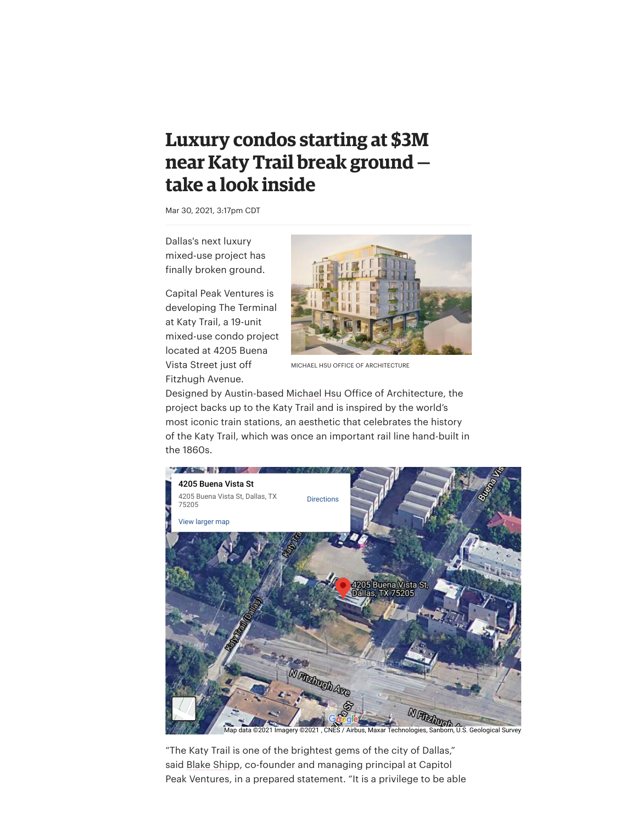## **Luxury condos starting at \$3M near Katy Trail break ground take a look inside**

Mar 30, 2021, 3:17pm CDT

Dallas's next luxury mixed-use project has finally broken ground.

Capital Peak Ventures is developing The Terminal at Katy Trail, a 19-unit mixed-use condo project located at 4205 Buena Vista Street just off Fitzhugh Avenue.



MICHAEL HSU OFFICE OF ARCHITECTURE

Designed by Austin-based [Michael Hsu](https://www.bizjournals.com/dallas/search/results?q=Michael%20Hsu) Office of Architecture, the project backs up to the Katy Trail and is inspired by the world's most iconic train stations, an aesthetic that celebrates the history of the Katy Trail, which was once an important rail line hand-built in the 1860s.



"The Katy Trail is one of the brightest gems of the city of Dallas," said [Blake Shipp](https://www.bizjournals.com/dallas/search/results?q=Blake%20Shipp), co-founder and managing principal at Capitol Peak Ventures, in a prepared statement. "It is a privilege to be able